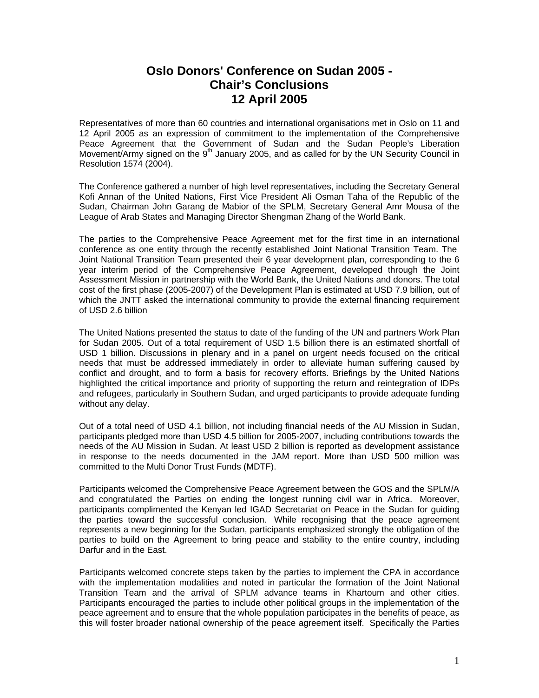## **Oslo Donors' Conference on Sudan 2005 - Chair's Conclusions 12 April 2005**

Representatives of more than 60 countries and international organisations met in Oslo on 11 and 12 April 2005 as an expression of commitment to the implementation of the Comprehensive Peace Agreement that the Government of Sudan and the Sudan People's Liberation Movement/Army signed on the  $9<sup>th</sup>$  January 2005, and as called for by the UN Security Council in Resolution 1574 (2004).

The Conference gathered a number of high level representatives, including the Secretary General Kofi Annan of the United Nations, First Vice President Ali Osman Taha of the Republic of the Sudan, Chairman John Garang de Mabior of the SPLM, Secretary General Amr Mousa of the League of Arab States and Managing Director Shengman Zhang of the World Bank.

The parties to the Comprehensive Peace Agreement met for the first time in an international conference as one entity through the recently established Joint National Transition Team. The Joint National Transition Team presented their 6 year development plan, corresponding to the 6 year interim period of the Comprehensive Peace Agreement, developed through the Joint Assessment Mission in partnership with the World Bank, the United Nations and donors. The total cost of the first phase (2005-2007) of the Development Plan is estimated at USD 7.9 billion, out of which the JNTT asked the international community to provide the external financing requirement of USD 2.6 billion

The United Nations presented the status to date of the funding of the UN and partners Work Plan for Sudan 2005. Out of a total requirement of USD 1.5 billion there is an estimated shortfall of USD 1 billion. Discussions in plenary and in a panel on urgent needs focused on the critical needs that must be addressed immediately in order to alleviate human suffering caused by conflict and drought, and to form a basis for recovery efforts. Briefings by the United Nations highlighted the critical importance and priority of supporting the return and reintegration of IDPs and refugees, particularly in Southern Sudan, and urged participants to provide adequate funding without any delay.

Out of a total need of USD 4.1 billion, not including financial needs of the AU Mission in Sudan, participants pledged more than USD 4.5 billion for 2005-2007, including contributions towards the needs of the AU Mission in Sudan. At least USD 2 billion is reported as development assistance in response to the needs documented in the JAM report. More than USD 500 million was committed to the Multi Donor Trust Funds (MDTF).

Participants welcomed the Comprehensive Peace Agreement between the GOS and the SPLM/A and congratulated the Parties on ending the longest running civil war in Africa. Moreover, participants complimented the Kenyan led IGAD Secretariat on Peace in the Sudan for guiding the parties toward the successful conclusion. While recognising that the peace agreement represents a new beginning for the Sudan, participants emphasized strongly the obligation of the parties to build on the Agreement to bring peace and stability to the entire country, including Darfur and in the East.

Participants welcomed concrete steps taken by the parties to implement the CPA in accordance with the implementation modalities and noted in particular the formation of the Joint National Transition Team and the arrival of SPLM advance teams in Khartoum and other cities. Participants encouraged the parties to include other political groups in the implementation of the peace agreement and to ensure that the whole population participates in the benefits of peace, as this will foster broader national ownership of the peace agreement itself. Specifically the Parties